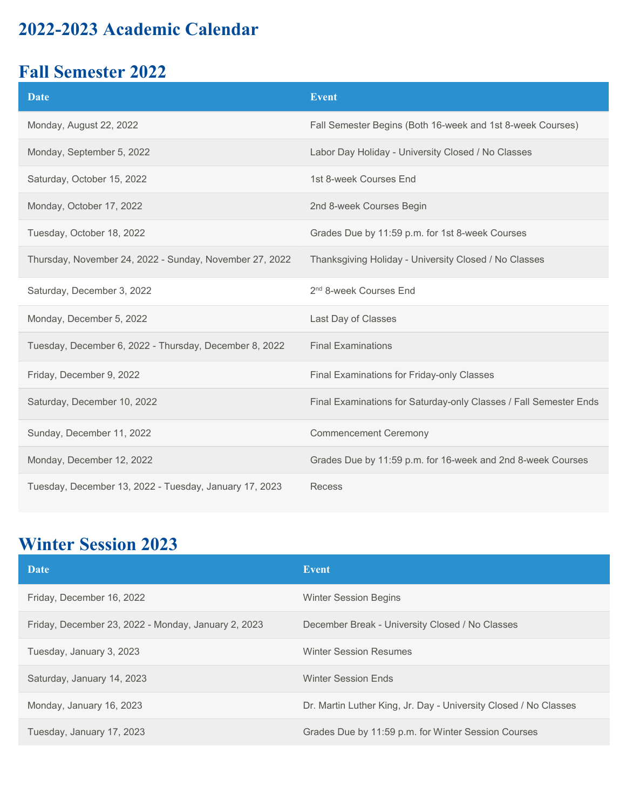### **2022-2023 Academic Calendar**

#### **Fall Semester 2022**

| <b>Date</b>                                             | <b>Event</b>                                                      |
|---------------------------------------------------------|-------------------------------------------------------------------|
| Monday, August 22, 2022                                 | Fall Semester Begins (Both 16-week and 1st 8-week Courses)        |
| Monday, September 5, 2022                               | Labor Day Holiday - University Closed / No Classes                |
| Saturday, October 15, 2022                              | 1st 8-week Courses End                                            |
| Monday, October 17, 2022                                | 2nd 8-week Courses Begin                                          |
| Tuesday, October 18, 2022                               | Grades Due by 11:59 p.m. for 1st 8-week Courses                   |
| Thursday, November 24, 2022 - Sunday, November 27, 2022 | Thanksgiving Holiday - University Closed / No Classes             |
| Saturday, December 3, 2022                              | 2 <sup>nd</sup> 8-week Courses End                                |
| Monday, December 5, 2022                                | Last Day of Classes                                               |
| Tuesday, December 6, 2022 - Thursday, December 8, 2022  | <b>Final Examinations</b>                                         |
| Friday, December 9, 2022                                | Final Examinations for Friday-only Classes                        |
| Saturday, December 10, 2022                             | Final Examinations for Saturday-only Classes / Fall Semester Ends |
| Sunday, December 11, 2022                               | <b>Commencement Ceremony</b>                                      |
| Monday, December 12, 2022                               | Grades Due by 11:59 p.m. for 16-week and 2nd 8-week Courses       |
| Tuesday, December 13, 2022 - Tuesday, January 17, 2023  | Recess                                                            |

## **Winter Session 2023**

| Date                                                | Event                                                            |
|-----------------------------------------------------|------------------------------------------------------------------|
| Friday, December 16, 2022                           | <b>Winter Session Begins</b>                                     |
| Friday, December 23, 2022 - Monday, January 2, 2023 | December Break - University Closed / No Classes                  |
| Tuesday, January 3, 2023                            | <b>Winter Session Resumes</b>                                    |
| Saturday, January 14, 2023                          | <b>Winter Session Ends</b>                                       |
| Monday, January 16, 2023                            | Dr. Martin Luther King, Jr. Day - University Closed / No Classes |
| Tuesday, January 17, 2023                           | Grades Due by 11:59 p.m. for Winter Session Courses              |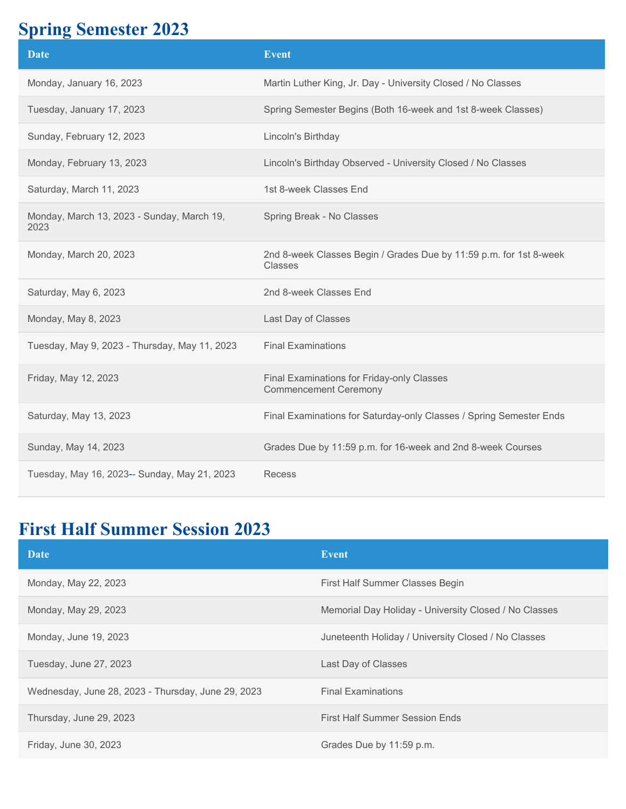#### **Spring Semester 2023**

| <b>Date</b>                                        | <b>Event</b>                                                                  |
|----------------------------------------------------|-------------------------------------------------------------------------------|
| Monday, January 16, 2023                           | Martin Luther King, Jr. Day - University Closed / No Classes                  |
| Tuesday, January 17, 2023                          | Spring Semester Begins (Both 16-week and 1st 8-week Classes)                  |
| Sunday, February 12, 2023                          | Lincoln's Birthday                                                            |
| Monday, February 13, 2023                          | Lincoln's Birthday Observed - University Closed / No Classes                  |
| Saturday, March 11, 2023                           | 1st 8-week Classes End                                                        |
| Monday, March 13, 2023 - Sunday, March 19,<br>2023 | Spring Break - No Classes                                                     |
| Monday, March 20, 2023                             | 2nd 8-week Classes Begin / Grades Due by 11:59 p.m. for 1st 8-week<br>Classes |
| Saturday, May 6, 2023                              | 2nd 8-week Classes End                                                        |
| Monday, May 8, 2023                                | Last Day of Classes                                                           |
| Tuesday, May 9, 2023 - Thursday, May 11, 2023      | <b>Final Examinations</b>                                                     |
| Friday, May 12, 2023                               | Final Examinations for Friday-only Classes<br><b>Commencement Ceremony</b>    |
| Saturday, May 13, 2023                             | Final Examinations for Saturday-only Classes / Spring Semester Ends           |
| Sunday, May 14, 2023                               | Grades Due by 11:59 p.m. for 16-week and 2nd 8-week Courses                   |
| Tuesday, May 16, 2023-- Sunday, May 21, 2023       | <b>Recess</b>                                                                 |

# **First Half Summer Session 2023**

| Date                                               | <b>Event</b>                                          |
|----------------------------------------------------|-------------------------------------------------------|
| Monday, May 22, 2023                               | First Half Summer Classes Begin                       |
| Monday, May 29, 2023                               | Memorial Day Holiday - University Closed / No Classes |
| Monday, June 19, 2023                              | Juneteenth Holiday / University Closed / No Classes   |
| Tuesday, June 27, 2023                             | Last Day of Classes                                   |
| Wednesday, June 28, 2023 - Thursday, June 29, 2023 | <b>Final Examinations</b>                             |
| Thursday, June 29, 2023                            | <b>First Half Summer Session Ends</b>                 |
| Friday, June 30, 2023                              | Grades Due by 11:59 p.m.                              |